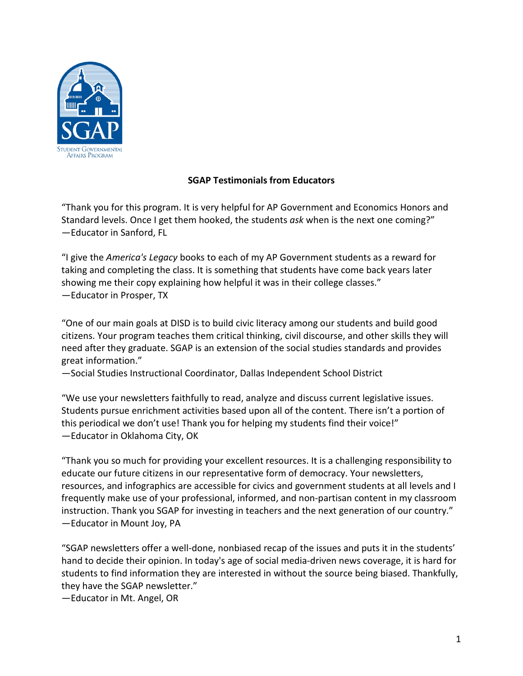

## **SGAP Testimonials from Educators**

"Thank you for this program. It is very helpful for AP Government and Economics Honors and Standard levels. Once I get them hooked, the students *ask* when is the next one coming?" —Educator in Sanford, FL

"I give the *America's Legacy* books to each of my AP Government students as a reward for taking and completing the class. It is something that students have come back years later showing me their copy explaining how helpful it was in their college classes." —Educator in Prosper, TX

"One of our main goals at DISD is to build civic literacy among our students and build good citizens. Your program teaches them critical thinking, civil discourse, and other skills they will need after they graduate. SGAP is an extension of the social studies standards and provides great information."

—Social Studies Instructional Coordinator, Dallas Independent School District

"We use your newsletters faithfully to read, analyze and discuss current legislative issues. Students pursue enrichment activities based upon all of the content. There isn't a portion of this periodical we don't use! Thank you for helping my students find their voice!" —Educator in Oklahoma City, OK

"Thank you so much for providing your excellent resources. It is a challenging responsibility to educate our future citizens in our representative form of democracy. Your newsletters, resources, and infographics are accessible for civics and government students at all levels and I frequently make use of your professional, informed, and non-partisan content in my classroom instruction. Thank you SGAP for investing in teachers and the next generation of our country." —Educator in Mount Joy, PA

"SGAP newsletters offer a well-done, nonbiased recap of the issues and puts it in the students' hand to decide their opinion. In today's age of social media-driven news coverage, it is hard for students to find information they are interested in without the source being biased. Thankfully, they have the SGAP newsletter."

—Educator in Mt. Angel, OR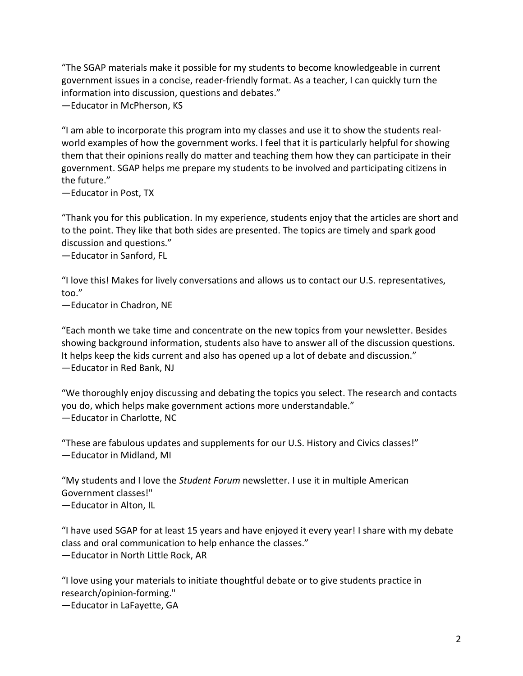"The SGAP materials make it possible for my students to become knowledgeable in current government issues in a concise, reader-friendly format. As a teacher, I can quickly turn the information into discussion, questions and debates."

—Educator in McPherson, KS

"I am able to incorporate this program into my classes and use it to show the students realworld examples of how the government works. I feel that it is particularly helpful for showing them that their opinions really do matter and teaching them how they can participate in their government. SGAP helps me prepare my students to be involved and participating citizens in the future."

—Educator in Post, TX

"Thank you for this publication. In my experience, students enjoy that the articles are short and to the point. They like that both sides are presented. The topics are timely and spark good discussion and questions."

—Educator in Sanford, FL

"I love this! Makes for lively conversations and allows us to contact our U.S. representatives, too."

—Educator in Chadron, NE

"Each month we take time and concentrate on the new topics from your newsletter. Besides showing background information, students also have to answer all of the discussion questions. It helps keep the kids current and also has opened up a lot of debate and discussion." —Educator in Red Bank, NJ

"We thoroughly enjoy discussing and debating the topics you select. The research and contacts you do, which helps make government actions more understandable." —Educator in Charlotte, NC

"These are fabulous updates and supplements for our U.S. History and Civics classes!" —Educator in Midland, MI

"My students and I love the *Student Forum* newsletter. I use it in multiple American Government classes!"

—Educator in Alton, IL

"I have used SGAP for at least 15 years and have enjoyed it every year! I share with my debate class and oral communication to help enhance the classes." —Educator in North Little Rock, AR

"I love using your materials to initiate thoughtful debate or to give students practice in research/opinion-forming."

—Educator in LaFayette, GA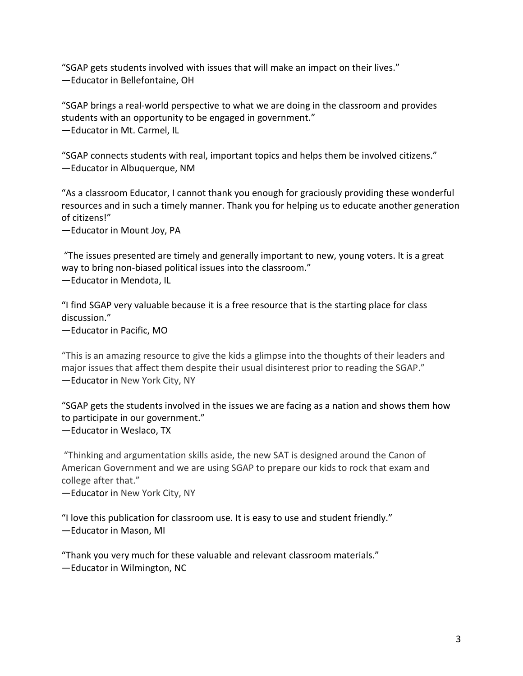"SGAP gets students involved with issues that will make an impact on their lives." —Educator in Bellefontaine, OH

"SGAP brings a real-world perspective to what we are doing in the classroom and provides students with an opportunity to be engaged in government." —Educator in Mt. Carmel, IL

"SGAP connects students with real, important topics and helps them be involved citizens." —Educator in Albuquerque, NM

"As a classroom Educator, I cannot thank you enough for graciously providing these wonderful resources and in such a timely manner. Thank you for helping us to educate another generation of citizens!"

—Educator in Mount Joy, PA

"The issues presented are timely and generally important to new, young voters. It is a great way to bring non-biased political issues into the classroom." —Educator in Mendota, IL

"I find SGAP very valuable because it is a free resource that is the starting place for class discussion."

—Educator in Pacific, MO

"This is an amazing resource to give the kids a glimpse into the thoughts of their leaders and major issues that affect them despite their usual disinterest prior to reading the SGAP." —Educator in New York City, NY

"SGAP gets the students involved in the issues we are facing as a nation and shows them how to participate in our government." —Educator in Weslaco, TX

"Thinking and argumentation skills aside, the new SAT is designed around the Canon of American Government and we are using SGAP to prepare our kids to rock that exam and college after that."

—Educator in New York City, NY

"I love this publication for classroom use. It is easy to use and student friendly." —Educator in Mason, MI

"Thank you very much for these valuable and relevant classroom materials." —Educator in Wilmington, NC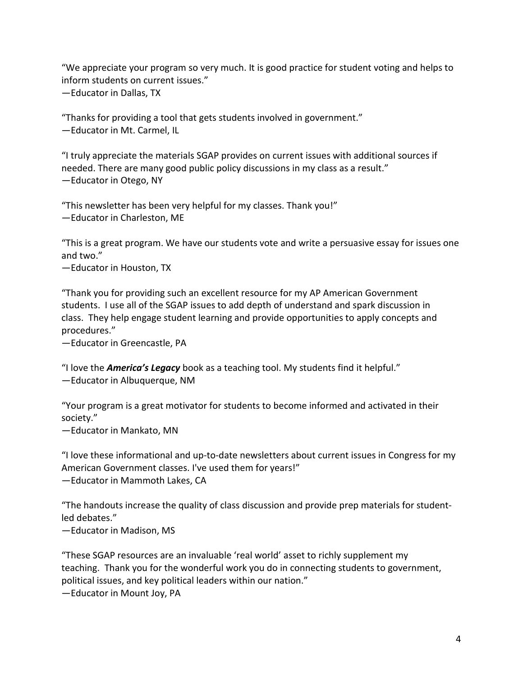"We appreciate your program so very much. It is good practice for student voting and helps to inform students on current issues." —Educator in Dallas, TX

"Thanks for providing a tool that gets students involved in government." —Educator in Mt. Carmel, IL

"I truly appreciate the materials SGAP provides on current issues with additional sources if needed. There are many good public policy discussions in my class as a result." —Educator in Otego, NY

"This newsletter has been very helpful for my classes. Thank you!" —Educator in Charleston, ME

"This is a great program. We have our students vote and write a persuasive essay for issues one and two."

—Educator in Houston, TX

"Thank you for providing such an excellent resource for my AP American Government students. I use all of the SGAP issues to add depth of understand and spark discussion in class. They help engage student learning and provide opportunities to apply concepts and procedures."

—Educator in Greencastle, PA

"I love the *America's Legacy* book as a teaching tool. My students find it helpful." —Educator in Albuquerque, NM

"Your program is a great motivator for students to become informed and activated in their society."

—Educator in Mankato, MN

"I love these informational and up-to-date newsletters about current issues in Congress for my American Government classes. I've used them for years!" —Educator in Mammoth Lakes, CA

"The handouts increase the quality of class discussion and provide prep materials for studentled debates."

—Educator in Madison, MS

"These SGAP resources are an invaluable 'real world' asset to richly supplement my teaching. Thank you for the wonderful work you do in connecting students to government, political issues, and key political leaders within our nation."

—Educator in Mount Joy, PA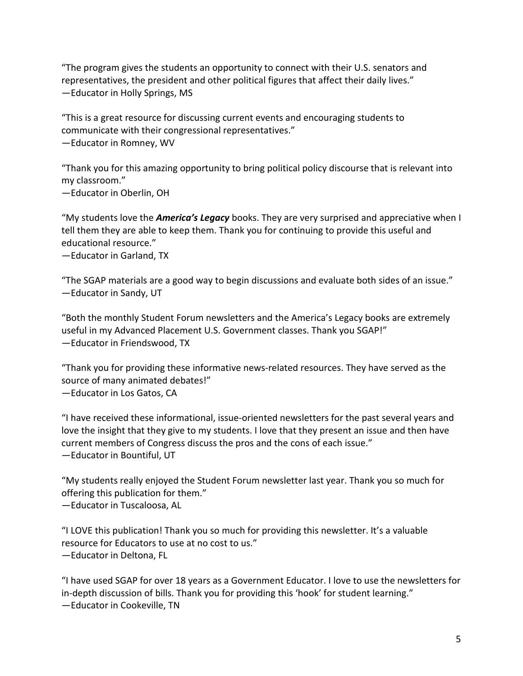"The program gives the students an opportunity to connect with their U.S. senators and representatives, the president and other political figures that affect their daily lives." —Educator in Holly Springs, MS

"This is a great resource for discussing current events and encouraging students to communicate with their congressional representatives." —Educator in Romney, WV

"Thank you for this amazing opportunity to bring political policy discourse that is relevant into my classroom." —Educator in Oberlin, OH

"My students love the *America's Legacy* books. They are very surprised and appreciative when I tell them they are able to keep them. Thank you for continuing to provide this useful and educational resource."

—Educator in Garland, TX

"The SGAP materials are a good way to begin discussions and evaluate both sides of an issue." —Educator in Sandy, UT

"Both the monthly Student Forum newsletters and the America's Legacy books are extremely useful in my Advanced Placement U.S. Government classes. Thank you SGAP!" —Educator in Friendswood, TX

"Thank you for providing these informative news-related resources. They have served as the source of many animated debates!" —Educator in Los Gatos, CA

"I have received these informational, issue-oriented newsletters for the past several years and love the insight that they give to my students. I love that they present an issue and then have current members of Congress discuss the pros and the cons of each issue." —Educator in Bountiful, UT

"My students really enjoyed the Student Forum newsletter last year. Thank you so much for offering this publication for them."

—Educator in Tuscaloosa, AL

"I LOVE this publication! Thank you so much for providing this newsletter. It's a valuable resource for Educators to use at no cost to us." —Educator in Deltona, FL

"I have used SGAP for over 18 years as a Government Educator. I love to use the newsletters for in-depth discussion of bills. Thank you for providing this 'hook' for student learning." —Educator in Cookeville, TN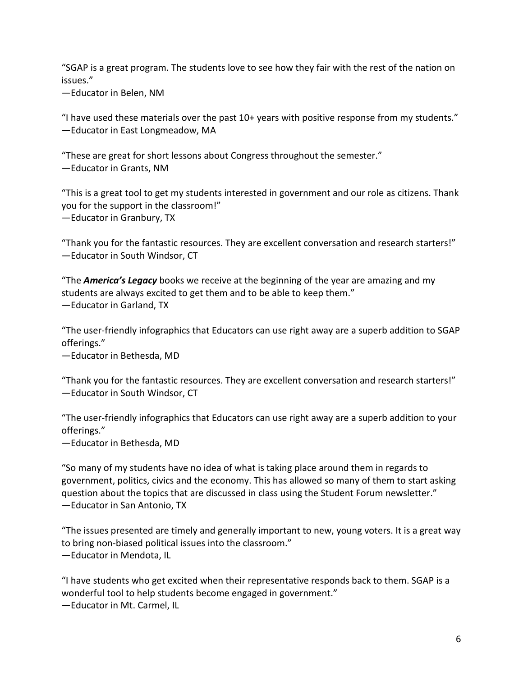"SGAP is a great program. The students love to see how they fair with the rest of the nation on issues."

—Educator in Belen, NM

"I have used these materials over the past  $10+$  years with positive response from my students." —Educator in East Longmeadow, MA

"These are great for short lessons about Congress throughout the semester." —Educator in Grants, NM

"This is a great tool to get my students interested in government and our role as citizens. Thank you for the support in the classroom!" —Educator in Granbury, TX

"Thank you for the fantastic resources. They are excellent conversation and research starters!" —Educator in South Windsor, CT

"The *America's Legacy* books we receive at the beginning of the year are amazing and my students are always excited to get them and to be able to keep them." —Educator in Garland, TX

"The user-friendly infographics that Educators can use right away are a superb addition to SGAP offerings."

—Educator in Bethesda, MD

"Thank you for the fantastic resources. They are excellent conversation and research starters!" —Educator in South Windsor, CT

"The user-friendly infographics that Educators can use right away are a superb addition to your offerings."

—Educator in Bethesda, MD

"So many of my students have no idea of what is taking place around them in regards to government, politics, civics and the economy. This has allowed so many of them to start asking question about the topics that are discussed in class using the Student Forum newsletter." —Educator in San Antonio, TX

"The issues presented are timely and generally important to new, young voters. It is a great way to bring non-biased political issues into the classroom." —Educator in Mendota, IL

"I have students who get excited when their representative responds back to them. SGAP is a wonderful tool to help students become engaged in government."

—Educator in Mt. Carmel, IL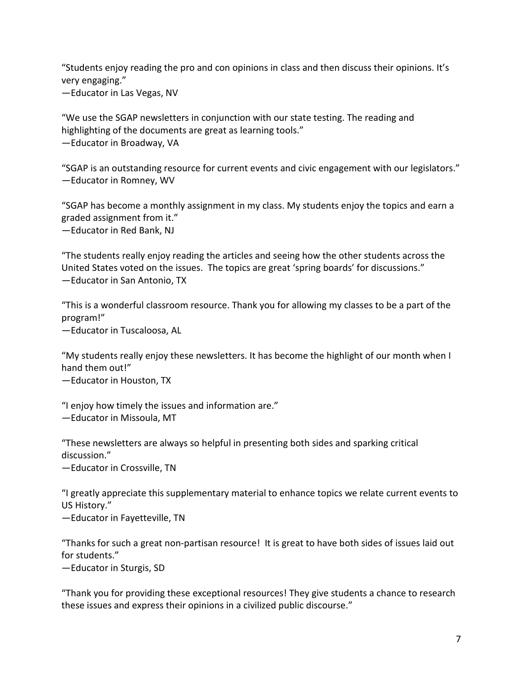"Students enjoy reading the pro and con opinions in class and then discuss their opinions. It's very engaging." —Educator in Las Vegas, NV

"We use the SGAP newsletters in conjunction with our state testing. The reading and highlighting of the documents are great as learning tools." —Educator in Broadway, VA

"SGAP is an outstanding resource for current events and civic engagement with our legislators." —Educator in Romney, WV

"SGAP has become a monthly assignment in my class. My students enjoy the topics and earn a graded assignment from it."

—Educator in Red Bank, NJ

"The students really enjoy reading the articles and seeing how the other students across the United States voted on the issues. The topics are great 'spring boards' for discussions." —Educator in San Antonio, TX

"This is a wonderful classroom resource. Thank you for allowing my classes to be a part of the program!"

—Educator in Tuscaloosa, AL

"My students really enjoy these newsletters. It has become the highlight of our month when I hand them out!"

—Educator in Houston, TX

"I enjoy how timely the issues and information are." —Educator in Missoula, MT

"These newsletters are always so helpful in presenting both sides and sparking critical discussion."

—Educator in Crossville, TN

"I greatly appreciate this supplementary material to enhance topics we relate current events to US History." —Educator in Fayetteville, TN

"Thanks for such a great non-partisan resource! It is great to have both sides of issues laid out for students."

—Educator in Sturgis, SD

"Thank you for providing these exceptional resources! They give students a chance to research these issues and express their opinions in a civilized public discourse."